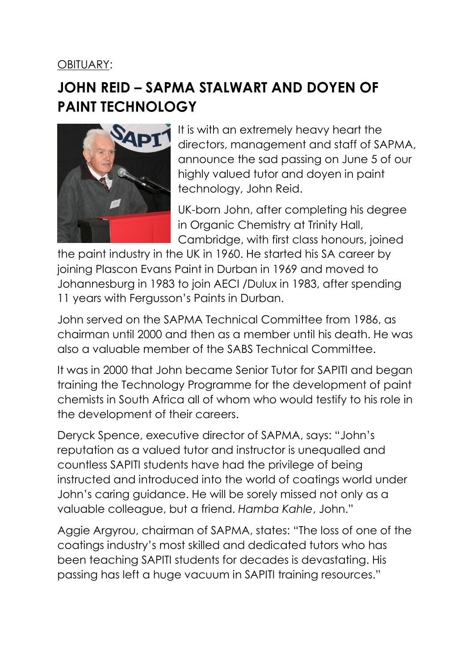OBITUARY:

## **JOHN REID – SAPMA STALWART AND DOYEN OF PAINT TECHNOLOGY**



It is with an extremely heavy heart the directors, management and staff of SAPMA, announce the sad passing on June 5 of our highly valued tutor and doyen in paint technology, John Reid.

UK-born John, after completing his degree in Organic Chemistry at Trinity Hall, Cambridge, with first class honours, joined

the paint industry in the UK in 1960. He started his SA career by joining Plascon Evans Paint in Durban in 1969 and moved to Johannesburg in 1983 to join AECI /Dulux in 1983, after spending 11 years with Fergusson's Paints in Durban.

John served on the SAPMA Technical Committee from 1986, as chairman until 2000 and then as a member until his death. He was also a valuable member of the SABS Technical Committee.

It was in 2000 that John became Senior Tutor for SAPITI and began training the Technology Programme for the development of paint chemists in South Africa all of whom who would testify to his role in the development of their careers.

Deryck Spence, executive director of SAPMA, says: "John's reputation as a valued tutor and instructor is unequalled and countless SAPITI students have had the privilege of being instructed and introduced into the world of coatings world under John's caring guidance. He will be sorely missed not only as a valuable colleague, but a friend. *Hamba Kahle*, John."

Aggie Argyrou, chairman of SAPMA, states: "The loss of one of the coatings industry's most skilled and dedicated tutors who has been teaching SAPITI students for decades is devastating. His passing has left a huge vacuum in SAPITI training resources."